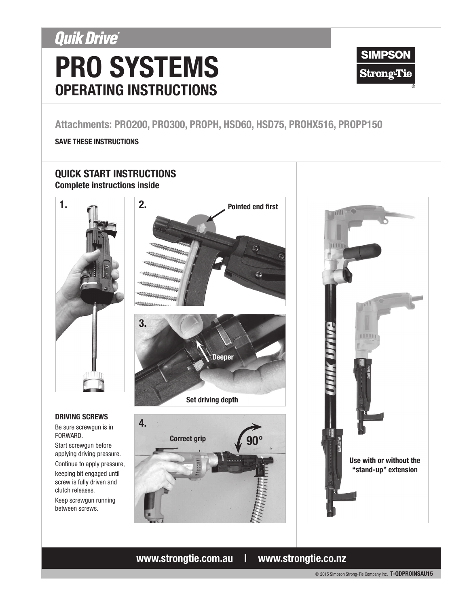## **Quik Drive®**

# PRO SYSTEMS OPERATING INSTRUCTIONS



## Attachments: PRO200, PRO300, PROPH, HSD60, HSD75, PROHX516, PROPP150

### SAVE THESE INSTRUCTIONS

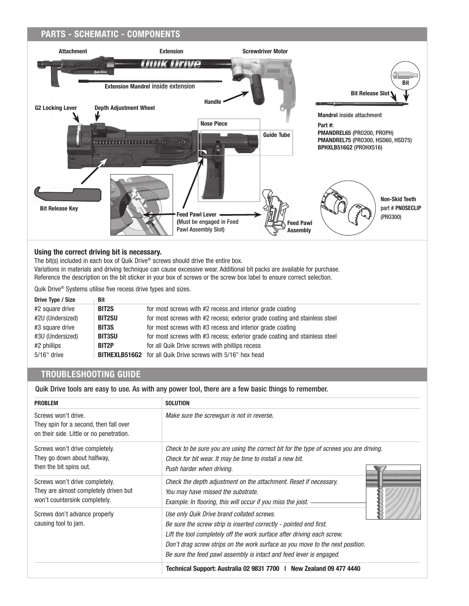#### PARTS - SCHEMATIC - COMPONENTS Attachment Extension Screwdriver Motor **CHITHE** Bit Extension Mandrel inside extension Bit Release Slot Handle G2 Locking Lever Depth Adjustment Wheel Mandrel inside attachment Nose Piece Part #: PMANDREL65 (PRO200, PROPH) Guide Tube PMANDREL75 (PRO300, HSD60, HSD75)  $\overline{\odot}$ ie. BPHXLB516G2 (PROHX516) Non-Skid Teeth part # PNOSECLIP Bit Release KeyFeed Pawl Lever (PRO300) (Must be engaged in Feed Feed Pawl Pawl Assembly Slot) Assembly

#### Using the correct driving bit is necessary.

The bit(s) included in each box of Quik Drive® screws should drive the entire box. Variations in materials and driving technique can cause excessive wear. Additional bit packs are available for purchase. Reference the description on the bit sticker in your box of screws or the screw box label to ensure correct selection.

Quik Drive® Systems utilise five recess drive types and sizes.

| Drive Type / Size | <b>Bit</b>         |                                                                            |
|-------------------|--------------------|----------------------------------------------------------------------------|
| #2 square drive   | BIT <sub>2</sub> S | for most screws with #2 recess and interior grade coating                  |
| #2U (Undersized)  | <b>BIT2SU</b>      | for most screws with #2 recess; exterior grade coating and stainless steel |
| #3 square drive   | <b>BIT3S</b>       | for most screws with #3 recess and interior grade coating                  |
| #3U (Undersized)  | <b>BIT3SU</b>      | for most screws with #3 recess; exterior grade coating and stainless steel |
| #2 phillips       | BIT2P              | for all Quik Drive screws with phillips recess                             |
| $5/16"$ drive     |                    | <b>BITHEXLB516G2</b> for all Quik Drive screws with 5/16" hex head         |

## TROUBLESHOOTING GUIDE

Quik Drive tools are easy to use. As with any power tool, there are a few basic things to remember.

| <b>PROBLEM</b>                                                                                            | <b>SOLUTION</b>                                                                                                                                                                                                                                                                                                                                     |
|-----------------------------------------------------------------------------------------------------------|-----------------------------------------------------------------------------------------------------------------------------------------------------------------------------------------------------------------------------------------------------------------------------------------------------------------------------------------------------|
| Screws won't drive.<br>They spin for a second, then fall over<br>on their side. Little or no penetration. | Make sure the screwgun is not in reverse.                                                                                                                                                                                                                                                                                                           |
| Screws won't drive completely.<br>They go down about halfway,<br>then the bit spins out.                  | Check to be sure you are using the correct bit for the type of screws you are driving.<br>Check for bit wear. It may be time to install a new bit.<br>Push harder when driving.                                                                                                                                                                     |
| Screws won't drive completely.<br>They are almost completely driven but<br>won't countersink completely.  | Check the depth adjustment on the attachment. Reset if necessary.<br>You may have missed the substrate.<br>Example: In flooring, this will occur if you miss the joist.                                                                                                                                                                             |
| Screws don't advance properly<br>causing tool to jam.                                                     | Use only Quik Drive brand collated screws.<br>Be sure the screw strip is inserted correctly - pointed end first.<br>Lift the tool completely off the work surface after driving each screw.<br>Don't drag screw strips on the work surface as you move to the next position.<br>Be sure the feed pawl assembly is intact and feed lever is engaged. |
|                                                                                                           | Technical Support: Australia 02 9831 7700   New Zealand 09 477 4440                                                                                                                                                                                                                                                                                 |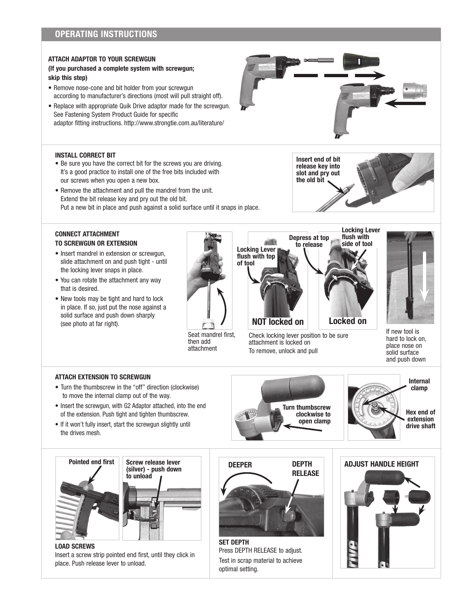## OPERATING INSTRUCTIONS

#### ATTACH ADAPTOR TO YOUR SCREWGUN

#### (If you purchased a complete system with screwgun; skip this step)

- Remove nose-cone and bit holder from your screwgun according to manufacturer's directions (most will pull straight off).
- Replace with appropriate Quik Drive adaptor made for the screwgun. See Fastening System Product Guide for specific adaptor fitting instructions. http://www.strongtie.com.au/literature/



Insert end of bit release key into slot and pry out the old bit

#### INSTALL CORRECT BIT

- Be sure you have the correct bit for the screws you are driving. It's a good practice to install one of the free bits included with our screws when you open a new box.
- Remove the attachment and pull the mandrel from the unit. Extend the bit release key and pry out the old bit. Put a new bit in place and push against a solid surface until it snaps in place.



- Insert mandrel in extension or screwgun, slide attachment on and push tight - until the locking lever snaps in place.
- You can rotate the attachment any way that is desired.
- New tools may be tight and hard to lock in place. If so, just put the nose against a solid surface and push down sharply

| ndral fire<br><b>Seat</b><br>פ |
|--------------------------------|

eat mandrel first, then add attachment



Check locking lever position to be sure attachment is locked on To remove, unlock and pull



If new tool is hard to lock on, place nose on solid surface and push down

#### ATTACH EXTENSION TO SCREWGUN

- Turn the thumbscrew in the "off" direction (clockwise) to move the internal clamp out of the way.
- Insert the screwgun, with G2 Adaptor attached, into the end of the extension. Push tight and tighten thumbscrew.
- If it won't fully insert, start the screwgun slightly until the drives mesh.





LOAD SCREWS Insert a screw strip pointed end first, until they click in place. Push release lever to unload.



Press DEPTH RELEASE to adjust. Test in scrap material to achieve optimal setting.